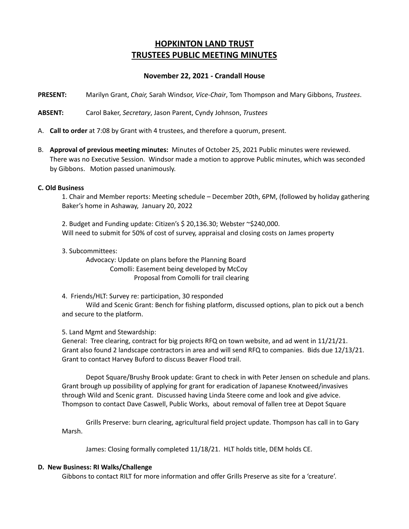# **HOPKINTON LAND TRUST TRUSTEES PUBLIC MEETING MINUTES**

## **November 22, 2021 - Crandall House**

**PRESENT:** Marilyn Grant, *Chair,* Sarah Windsor, *Vice-Chair*, Tom Thompson and Mary Gibbons, *Trustees*.

**ABSENT:** Carol Baker, *Secretary*, Jason Parent, Cyndy Johnson, *Trustees*

A. **Call to order** at 7:08 by Grant with 4 trustees, and therefore a quorum, present.

B. **Approval of previous meeting minutes:** Minutes of October 25, 2021 Public minutes were reviewed. There was no Executive Session. Windsor made a motion to approve Public minutes, which was seconded by Gibbons. Motion passed unanimously.

#### **C. Old Business**

1. Chair and Member reports: Meeting schedule – December 20th, 6PM, (followed by holiday gathering Baker's home in Ashaway, January 20, 2022

2. Budget and Funding update: Citizen's \$ 20,136.30; Webster ~\$240,000. Will need to submit for 50% of cost of survey, appraisal and closing costs on James property

3. Subcommittees:

Advocacy: Update on plans before the Planning Board Comolli: Easement being developed by McCoy Proposal from Comolli for trail clearing

4. Friends/HLT: Survey re: participation, 30 responded

Wild and Scenic Grant: Bench for fishing platform, discussed options, plan to pick out a bench and secure to the platform.

### 5. Land Mgmt and Stewardship:

General: Tree clearing, contract for big projects RFQ on town website, and ad went in 11/21/21. Grant also found 2 landscape contractors in area and will send RFQ to companies. Bids due 12/13/21. Grant to contact Harvey Buford to discuss Beaver Flood trail.

Depot Square/Brushy Brook update: Grant to check in with Peter Jensen on schedule and plans. Grant brough up possibility of applying for grant for eradication of Japanese Knotweed/invasives through Wild and Scenic grant. Discussed having Linda Steere come and look and give advice. Thompson to contact Dave Caswell, Public Works, about removal of fallen tree at Depot Square

Grills Preserve: burn clearing, agricultural field project update. Thompson has call in to Gary Marsh.

James: Closing formally completed 11/18/21. HLT holds title, DEM holds CE.

#### **D. New Business: RI Walks/Challenge**

Gibbons to contact RILT for more information and offer Grills Preserve as site for a 'creature'.